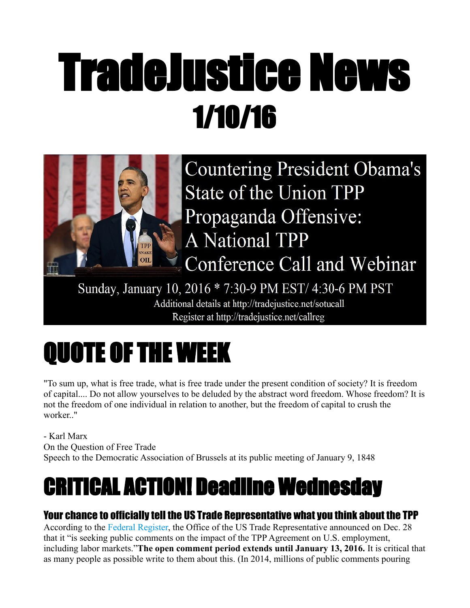# TradeJustice News 1/10/16



Sunday, January 10, 2016 \* 7:30-9 PM EST/ 4:30-6 PM PST Additional details at http://tradejustice.net/sotucall Register at http://tradejustice.net/callreg

# QUOTE OF THE WEEK

"To sum up, what is free trade, what is free trade under the present condition of society? It is freedom of capital.... Do not allow yourselves to be deluded by the abstract word freedom. Whose freedom? It is not the freedom of one individual in relation to another, but the freedom of capital to crush the worker.."

- Karl Marx On the Question of Free Trade Speech to the Democratic Association of Brussels at its public meeting of January 9, 1848

# CRITICAL ACTION! Deadline Wednesday

## Your chance to officially tell the US Trade Representative what you think about the TPP

According to the [Federal Register,](https://s3.amazonaws.com/public-inspection.federalregister.gov/2015-32294.pdf) the Office of the US Trade Representative announced on Dec. 28 that it "is seeking public comments on the impact of the TPP Agreement on U.S. employment, including labor markets."**The open comment period extends until January 13, 2016.** It is critical that as many people as possible write to them about this. (In 2014, millions of public comments pouring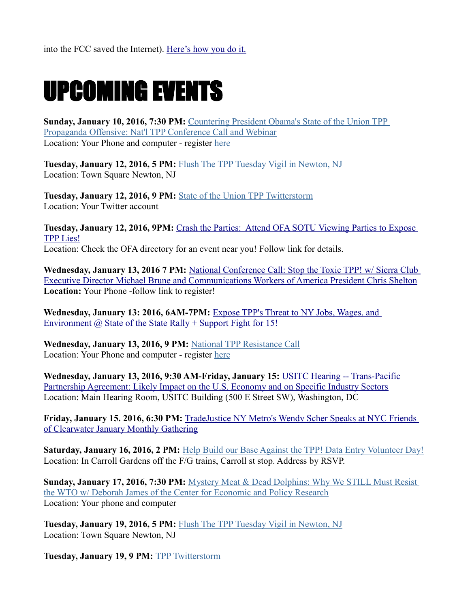# UPCOMING EVENTS

**Sunday, January 10, 2016, 7:30 PM:** [Countering President Obama's State of the Union TPP](http://tradejustice.us6.list-manage2.com/track/click?u=dfa3386146a1d70682e4f52aa&id=0492dd293c&e=93755f9018)  [Propaganda Offensive: Nat'l TPP Conference Call and Webinar](http://tradejustice.us6.list-manage2.com/track/click?u=dfa3386146a1d70682e4f52aa&id=0492dd293c&e=93755f9018) Location: Your Phone and computer - register [here](http://tradejustice.us6.list-manage1.com/track/click?u=dfa3386146a1d70682e4f52aa&id=3f15edf4a3&e=93755f9018)

**Tuesday, January 12, 2016, 5 PM:** [Flush The TPP Tuesday Vigil in Newton, NJ](http://tradejustice.us6.list-manage.com/track/click?u=dfa3386146a1d70682e4f52aa&id=fca45ec5e1&e=93755f9018) Location: Town Square Newton, NJ

**Tuesday, January 12, 2016, 9 PM:** [State of the Union TPP Twitterstorm](http://tradejustice.us6.list-manage1.com/track/click?u=dfa3386146a1d70682e4f52aa&id=102353240e&e=93755f9018) Location: Your Twitter account

**Tuesday, January 12, 2016, 9PM:** [Crash the Parties: Attend OFA SOTU Viewing Parties to Expose](https://www.facebook.com/events/1046820835341165/)  [TPP Lies!](https://www.facebook.com/events/1046820835341165/) Location: Check the OFA directory for an event near you! Follow link for details.

Wednesday, January 13, 2016 7 PM: National Conference Call: Stop the Toxic TPP! w/ Sierra Club [Executive Director Michael Brune and Communications Workers of America President Chris Shelton](https://t.co/xdv6rK2hXB) **Location:** Your Phone -follow link to register!

**Wednesday, January 13: 2016, 6AM-7PM:** [Expose TPP's Threat to NY Jobs, Wages, and](https://www.facebook.com/events/1537051169956217/)  Environment  $\omega$  State of the State Rally + Support Fight for 15!

**Wednesday, January 13, 2016, 9 PM:** [National TPP Resistance Call](http://tradejustice.us6.list-manage.com/track/click?u=dfa3386146a1d70682e4f52aa&id=d7db47360e&e=93755f9018) Location: Your Phone and computer - register [here](http://tradejustice.us6.list-manage2.com/track/click?u=dfa3386146a1d70682e4f52aa&id=381c5b034f&e=93755f9018)

**Wednesday, January 13, 2016, 9:30 AM-Friday, January 15:** [USITC Hearing -- Trans-Pacific](https://www.facebook.com/events/1655499174719689/)  [Partnership Agreement: Likely Impact on the U.S. Economy and on Specific Industry Sectors](https://www.facebook.com/events/1655499174719689/) Location: Main Hearing Room, USITC Building (500 E Street SW), Washington, DC

**Friday, January 15. 2016, 6:30 PM:** [TradeJustice NY Metro's Wendy Scher Speaks at NYC Friends](https://www.facebook.com/events/526445144200361/)  [of Clearwater January Monthly Gathering](https://www.facebook.com/events/526445144200361/)

**Saturday, January 16, 2016, 2 PM:** [Help Build our Base Against the TPP! Data Entry Volunteer Day!](http://tradejustice.us6.list-manage.com/track/click?u=dfa3386146a1d70682e4f52aa&id=7bfa878561&e=93755f9018) Location: In Carroll Gardens off the F/G trains, Carroll st stop. Address by RSVP.

**Sunday, January 17, 2016, 7:30 PM:** [Mystery Meat & Dead Dolphins: Why We STILL Must Resist](http://tradejustice.us6.list-manage.com/track/click?u=dfa3386146a1d70682e4f52aa&id=a1f4cffed3&e=93755f9018)  [the WTO w/ Deborah James of the Center for Economic and Policy Research](http://tradejustice.us6.list-manage.com/track/click?u=dfa3386146a1d70682e4f52aa&id=a1f4cffed3&e=93755f9018) Location: Your phone and computer

**Tuesday, January 19, 2016, 5 PM:** [Flush The TPP Tuesday Vigil in Newton, NJ](http://tradejustice.us6.list-manage.com/track/click?u=dfa3386146a1d70682e4f52aa&id=7559c1f0a7&e=93755f9018) Location: Town Square Newton, NJ

**Tuesday, January 19, 9 PM[:](http://tradejustice.us6.list-manage1.com/track/click?u=dfa3386146a1d70682e4f52aa&id=55f595adab&e=93755f9018)** [TPP Twitterstorm](http://tradejustice.us6.list-manage.com/track/click?u=dfa3386146a1d70682e4f52aa&id=07e771b2a9&e=93755f9018)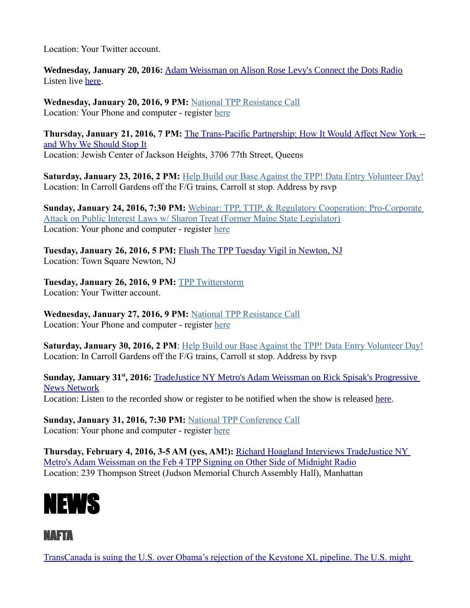Location: Your Twitter account.

**Wednesday, January 20, 2016:** [Adam Weissman on Alison Rose Levy's Connect the Dots Radio](https://www.facebook.com/events/881250601988133/) Listen live [here.](http://www.prn.fm/radio-player.php)

**Wednesday, January 20, 2016, 9 PM:** [National TPP Resistance Call](http://tradejustice.us6.list-manage1.com/track/click?u=dfa3386146a1d70682e4f52aa&id=642034e51c&e=93755f9018) Location: Your Phone and computer - register [here](http://tradejustice.us6.list-manage1.com/track/click?u=dfa3386146a1d70682e4f52aa&id=3f15edf4a3&e=93755f9018)

**Thursday, January 21, 2016, 7 PM:** [The Trans-Pacific Partnership: How It Would](http://tradejustice.us6.list-manage1.com/track/click?u=dfa3386146a1d70682e4f52aa&id=ca5c985d79&e=93755f9018) [Affect New York -](http://tradejustice.us6.list-manage.com/track/click?u=dfa3386146a1d70682e4f52aa&id=833f53d016&e=93755f9018) [and Why We Should Stop It](http://tradejustice.us6.list-manage.com/track/click?u=dfa3386146a1d70682e4f52aa&id=833f53d016&e=93755f9018) Location: Jewish Center of Jackson Heights, 3706 77th Street, Queens

**Saturday, January 23, 2016, 2 PM:** [Help Build our Base Against the TPP! Data Entry Volunteer Day!](http://tradejustice.us6.list-manage2.com/track/click?u=dfa3386146a1d70682e4f52aa&id=f8d1e9d70a&e=93755f9018) Location: In Carroll Gardens off the F/G trains, Carroll st stop. Address by rsvp

**Sunday, January 24, 2016, 7:30 PM:** [Webinar: TPP, TTIP, & Regulatory Cooperation: Pro-Corporate](http://tradejustice.us6.list-manage1.com/track/click?u=dfa3386146a1d70682e4f52aa&id=34aaccbfe6&e=93755f9018)  [Attack on Public Interest Laws w/ Sharon Treat \(Former Maine State Legislator\)](http://tradejustice.us6.list-manage1.com/track/click?u=dfa3386146a1d70682e4f52aa&id=34aaccbfe6&e=93755f9018) Location: Your phone and computer - register [here](http://tradejustice.us6.list-manage.com/track/click?u=dfa3386146a1d70682e4f52aa&id=e0917c826f&e=93755f9018)

**Tuesday, January 26, 2016, 5 PM:** [Flush The TPP Tuesday Vigil in Newton](http://tradejustice.us6.list-manage.com/track/click?u=dfa3386146a1d70682e4f52aa&id=0a413dffe4&e=93755f9018)[, NJ](http://tradejustice.us6.list-manage.com/track/click?u=dfa3386146a1d70682e4f52aa&id=a8672963c9&e=93755f9018) Location: Town Square Newton, NJ

**Tuesday, January 26, 2016, 9 PM:** [TPP Twitterstorm](http://tradejustice.us6.list-manage1.com/track/click?u=dfa3386146a1d70682e4f52aa&id=a7f545e1de&e=93755f9018) Location: Your Twitter account.

**Wednesday, January 27, 2016, 9 PM:** [National TPP Resistance Call](http://tradejustice.us6.list-manage.com/track/click?u=dfa3386146a1d70682e4f52aa&id=d6333d74eb&e=93755f9018) Location: Your Phone and computer - register [here](http://tradejustice.us6.list-manage1.com/track/click?u=dfa3386146a1d70682e4f52aa&id=2a0491d000&e=93755f9018)

Saturday, January 30, 2016, 2 PM: [Help Build our Base Against the TPP! Data Entry Volunteer Day!](http://tradejustice.us6.list-manage1.com/track/click?u=dfa3386146a1d70682e4f52aa&id=6f619f7011&e=93755f9018) Location: In Carroll Gardens off the F/G trains, Carroll st stop. Address by rsvp

**Sunday, January 31st, 2016:** [TradeJustice NY Metro's Adam Weissman on Rick Spisak's Progressive](https://www.facebook.com/events/1129262560447911/)  [News Network](https://www.facebook.com/events/1129262560447911/) Location: Listen to the recorded show or register to be notified when the show is released [here.](http://www.blogtalkradio.com/newmercurymedia)

**Sunday, January 31, 2016, 7:30 PM:** [National TPP Conference Call](http://tradejustice.us6.list-manage1.com/track/click?u=dfa3386146a1d70682e4f52aa&id=49291b047e&e=93755f9018) Location: Your phone and computer - register [here](http://tradejustice.us6.list-manage.com/track/click?u=dfa3386146a1d70682e4f52aa&id=a34af296c3&e=93755f9018)

**Thursday, February 4, 2016, 3-5 AM (yes, AM!):** [Richard Hoagland Interviews TradeJustice NY](https://www.facebook.com/events/1676930542579438/)  [Metro's Adam Weissman on the Feb 4 TPP Signing on Other Side of Midnight Radio](https://www.facebook.com/events/1676930542579438/) Location: 239 Thompson Street (Judson Memorial Church Assembly Hall), Manhattan



#### NAFTA

[TransCanada is suing the U.S. over Obama's rejection of the Keystone XL pipeline. The U.S. might](https://www.washingtonpost.com/news/monkey-cage/wp/2016/01/08/transcanada-is-suing-the-u-s-over-obamas-rejection-of-the-keystone-xl-pipeline-the-u-s-might-lose/)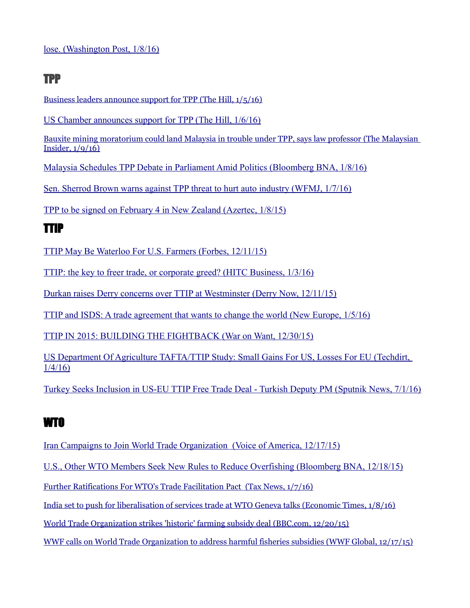### TPP

[Business leaders announce support for TPP \(The Hill, 1/5/16\)](http://thehill.com/policy/finance/264753-business-leaders-announce-support-for-tpp)

[US Chamber announces support for TPP \(The Hill, 1/6/16\)](http://thehill.com/policy/finance/264914-us-chamber-annonces-support-for-tpp)

[Bauxite mining moratorium could land Malaysia in trouble under TPP, says law professor \(The Malaysian](http://www.themalaysianinsider.com/malaysia/article/bauxite-mining-moratorium-could-land-malaysia-in-trouble-under-tpp-says-law)  [Insider, 1/9/16\)](http://www.themalaysianinsider.com/malaysia/article/bauxite-mining-moratorium-could-land-malaysia-in-trouble-under-tpp-says-law)

[Malaysia Schedules TPP Debate in Parliament Amid Politics \(Bloomberg BNA, 1/8/16\)](http://www.bna.com/malaysia-schedules-tpp-n57982065908/)

[Sen. Sherrod Brown warns against TPP threat to hurt auto industry \(WFMJ, 1/7/16\)](http://www.wfmj.com/story/30906617/sen-sherrod-brown-warns-against-tpp-threat-to-hurt-auto-industry)

[TPP to be signed on February 4 in New Zealand \(Azertec, 1/8/15\)](http://azertag.az/en/xeber/TPP_to_be_signed_on_February_4_in_New_Zealand-916884)

### TTIP

[TTIP May Be Waterloo For U.S. Farmers \(Forbes, 12/11/15\)](http://www.forbes.com/sites/johnbrinkley/2015/12/11/ttip-may-be-waterloo-for-u-s-farmers/)

[TTIP: the key to freer trade, or corporate greed? \(HITC Business, 1/3/16\)](http://www.hitc.com/en-gb/2016/01/03/ttip-the-key-to-freer-trade-or-corporate-greed/)

[Durkan raises Derry concerns over TTIP at Westminster \(Derry Now, 12/11/15\)](http://www.derrynow.com/news/durkan-raises-derry-concerns-over-ttip-at-westminster/62984)

[TTIP and ISDS: A trade agreement that wants to change the world \(New Europe, 1/5/16\)](http://neurope.eu/article/ttip-and-isds-a-trade-agreement-that-wants-to-change-the-world/)

[TTIP IN 2015: BUILDING THE FIGHTBACK \(War on Want, 12/30/15\)](http://www.waronwant.org/media/ttip-2015-building-fightback)

[US Department Of Agriculture TAFTA/TTIP Study: Small Gains For US, Losses For EU \(Techdirt,](https://www.techdirt.com/articles/20151231/08133333210/us-department-agriculture-taftattip-study-small-gains-us-losses-eu.shtml)  [1/4/16\)](https://www.techdirt.com/articles/20151231/08133333210/us-department-agriculture-taftattip-study-small-gains-us-losses-eu.shtml)

[Turkey Seeks Inclusion in US-EU TTIP Free Trade Deal - Turkish Deputy PM \(Sputnik News, 7/1/16\)](http://sputniknews.com/business/20160107/1032778948/turkey-ttip-deal.html#ixzz3wtFANCjX)

# WTO

 [Iran Campaigns to Join World Trade Organization \(Voice of America, 12/17/15\)](http://www.voanews.com/content/iran-campaigns-join-world-trade-organization/3107784.html)

[U.S., Other WTO Members Seek New Rules to Reduce Overfishing \(Bloomberg BNA, 12/18/15\)](http://www.bna.com/us-wto-members-n57982065355/)

 [Further Ratifications For WTO's Trade Facilitation Pact \(Tax News, 1/7/16\)](http://www.tax-news.com/news/Further_Ratifications_For_WTOs_Trade_Facilitation_Pact____70116.html#sthash.rp0apBNQ.dpuf)

[India set to push for liberalisation of services trade at WTO Geneva talks \(Economic Times, 1/8/16\)](http://economictimes.indiatimes.com/articleshow/50490944.cms?utm_source=contentofinterest&utm_medium=text&utm_campaign=cppst,)

[World Trade Organization strikes 'historic' farming subsidy deal \(BBC.com, 12/20/15\)](http://www.bbc.com/news/business-35145377)

[WWF calls on World Trade Organization to address harmful fisheries subsidies \(WWF Global, 12/17/15\)](http://wwf.panda.org/wwf_news/?258632/WWF-calls-on-World-Trade-Organization-to-address-harmful-fisheries-subsidies)